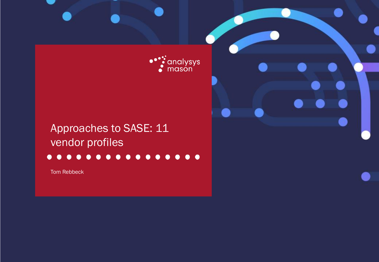

# Approaches to SASE: 11 vendor profiles

#### $\bullet$  $\bullet\bullet$  $\bullet$  $\bullet$  $\bullet$  $\bullet$  $\bullet$

Tom Rebbeck

Approaches to SASE: 11 vendor profiles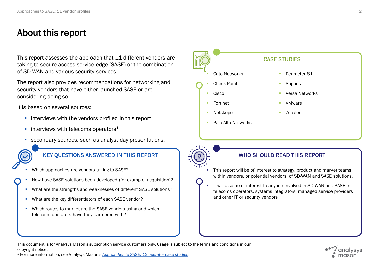## About this report

This report assesses the approach that 11 different vendors are  $\log$ taking to secure-access service edge (SASE) or the combination of SD-WAN and various security services.

The report also provides recommendations for networking and security vendors that have either launched SASE or are considering doing so.

It is based on several sources:

- interviews with the vendors profiled in this report
- $\blacksquare$  interviews with telecoms operators<sup>1</sup>
- **E** secondary sources, such as analyst day presentations.



- Which approaches are vendors taking to SASE?
- How have SASE solutions been developed (for example, acquisition)?
	- What are the strengths and weaknesses of different SASE solutions?
	- **■** What are the key differentiators of each SASE vendor?
	- **■** Which routes to market are the SASE vendors using and which telecoms operators have they partnered with?



- This report will be of interest to strategy, product and market teams within vendors, or potential vendors, of SD-WAN and SASE solutions.
- It will also be of interest to anyone involved in SD-WAN and SASE in telecoms operators, systems integrators, managed service providers and other IT or security vendors

This document is for Analysys Mason's subscription service customers only. Usage is subject to the terms and conditions in our copyright notice. <sup>1</sup> For more information, see Analysys Mason's *[Approaches to SASE: 12 operator case studies](https://www.analysysmason.com/research/content/reports/sase-operator-profiles-ren01/)*.

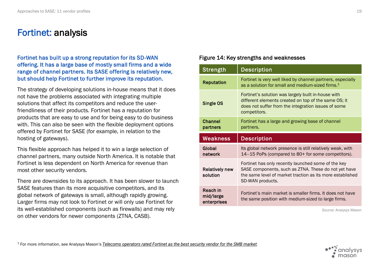### Fortinet: analysis

### Fortinet has built up a strong reputation for its SD-WAN offering. It has a large base of mostly small firms and a wide range of channel partners. Its SASE offering is relatively new, but should help Fortinet to further improve its reputation.

The strategy of developing solutions in-house means that it does not have the problems associated with integrating multiple solutions that affect its competitors and reduce the userfriendliness of their products. Fortinet has a reputation for products that are easy to use and for being easy to do business with. This can also be seen with the flexible deployment options offered by Fortinet for SASE (for example, in relation to the hosting of gateways).

This flexible approach has helped it to win a large selection of channel partners, many outside North America. It is notable that Fortinet is less dependent on North America for revenue than most other security vendors.

There are downsides to its approach. It has been slower to launch SASE features than its more acquisitive competitors, and its global network of gateways is small, although rapidly growing. Larger firms may not look to Fortinet or will only use Fortinet for its well-established components (such as firewalls) and may rely on other vendors for newer components (ZTNA, CASB).

### Figure 14: Key strengths and weaknesses

| Strength                          | <b>Description</b>                                                                                                                                                                           |
|-----------------------------------|----------------------------------------------------------------------------------------------------------------------------------------------------------------------------------------------|
| <b>Reputation</b>                 | Fortinet is very well liked by channel partners, especially<br>as a solution for small and medium-sized firms. <sup>1</sup>                                                                  |
| Single OS                         | Fortinet's solution was largely built in-house with<br>different elements created on top of the same OS; it<br>does not suffer from the integration issues of some<br>competitors.           |
| <b>Channel</b><br>partners        | Fortinet has a large and growing base of channel<br>partners.                                                                                                                                |
|                                   |                                                                                                                                                                                              |
| <b>Weakness</b>                   | <b>Description</b>                                                                                                                                                                           |
| Global<br>network                 | Its global network presence is still relatively weak, with<br>14-15 PoPs (compared to 80+ for some competitors).                                                                             |
| <b>Relatively new</b><br>solution | Fortinet has only recently launched some of the key<br>SASE components, such as ZTNA. These do not yet have<br>the same level of market traction as its more established<br>SD-WAN products. |

Source: Analysys Mason

<sup>1</sup> For more information, see Analysys Mason's *[Telecoms operators rated Fortinet as the best security vendor for the SMB market.](https://www.analysysmason.com/research/content/articles/operator-security-survey-ren04-rdmz0-ren01/)*

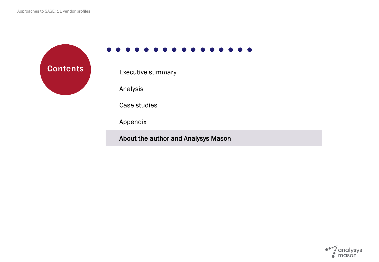**Contents** Executive summary

Analysis

Case studies

Appendix

About the author and Analysys Mason

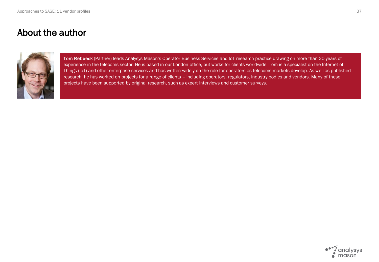### About the author



Tom Rebbeck (Partner) leads Analysys Mason's Operator Business Services and IoT research practice drawing on more than 20 years of experience in the telecoms sector. He is based in our London office, but works for clients worldwide. Tom is a specialist on the Internet of Things (IoT) and other enterprise services and has written widely on the role for operators as telecoms markets develop. As well as published research, he has worked on projects for a range of clients – including operators, regulators, industry bodies and vendors. Many of these projects have been supported by original research, such as expert interviews and customer surveys.

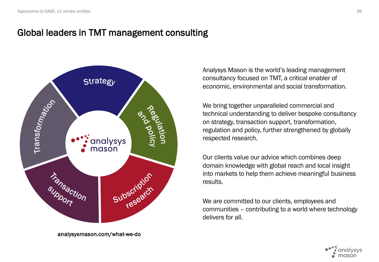## Global leaders in TMT management consulting



analysysmason.com/what-we-do

Analysys Mason is the world's leading management consultancy focused on TMT, a critical enabler of economic, environmental and social transformation.

We bring together unparalleled commercial and technical understanding to deliver bespoke consultancy on strategy, transaction support, transformation, regulation and policy, further strengthened by globally respected research.

Our clients value our advice which combines deep domain knowledge with global reach and local insight into markets to help them achieve meaningful business results.

We are committed to our clients, employees and communities – contributing to a world where technology delivers for all.

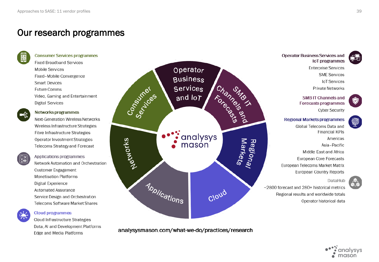## Our research programmes



#### **Consumer Services programmes**

**Fixed Broadband Services Mobile Services** Fixed-Mobile Convergence **Smart Devices** Future Comms Video, Gaming and Entertainment **Digital Services** 



#### Networks programmes

Next-Generation Wireless Networks Wireless Infrastructure Strategies Fibre Infrastructure Strategies Operator Investment Strategies Telecoms Strategy and Forecast



Applications programmes Network Automation and Orchestration **Customer Engagement Monetisation Platforms** Digital Experience Automated Assurance Service Design and Orchestration Telecoms Software Market Shares



#### **Cloud programmes**

Cloud Infrastructure Strategies Data, AI and Development Platforms Edge and Media Platforms



analysysmason.com/what-we-do/practices/research



**Operator Business Services and** loT programmes

> **Enterprise Services SME Services IoT Services Private Networks**

**SMB IT Channels and** Forecasts programmes **Cyber Security** 

### **Regional Markets programmes**

Global Telecoms Data and **Financial KPIs** Americas Asia-Pacific Middle East and Africa European Core Forecasts European Telecoms Market Matrix European Country Reports

DataHub

~2800 forecast and 280+ historical metrics Regional results and worldwide totals Operator historical data

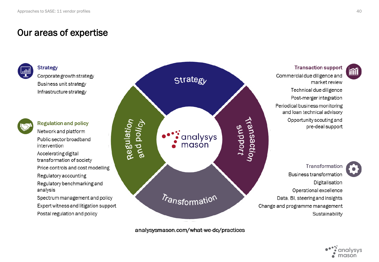**Strategy** 

### Our areas of expertise



Corporate growth strategy Business unit strategy Infrastructure strategy



**Regulation and policy** Network and platform Public sector broadband intervention

Accelerating digital transformation of society

Price controls and cost modelling

Regulatory accounting

Regulatory benchmarking and analysis

Spectrum management and policy Expert witness and litigation support Postal regulation and policy



analysysmason.com/what-we-do/practices

**Transaction support** 

Commercial due diligence and market review Technical due diligence Post-merger integration Periodical business monitoring and loan technical advisory Opportunity scouting and pre-deal support

Transformation Business transformation Digitalisation Operational excellence Data, BI, steering and insights Change and programme management Sustainability